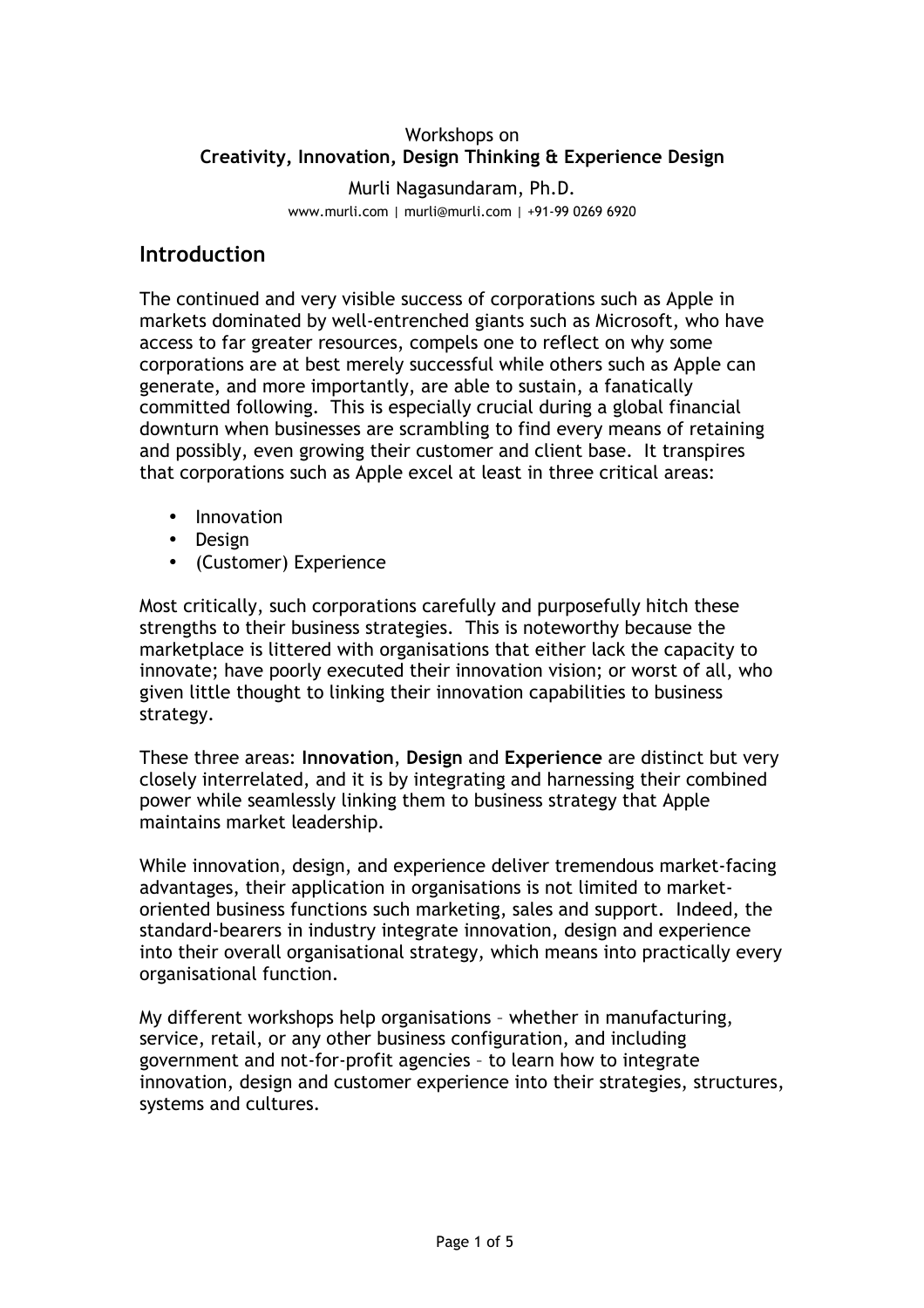### Workshops on **Creativity, Innovation, Design Thinking & Experience Design**

Murli Nagasundaram, Ph.D. www.murli.com | murli@murli.com | +91-99 0269 6920

### **Introduction**

The continued and very visible success of corporations such as Apple in markets dominated by well-entrenched giants such as Microsoft, who have access to far greater resources, compels one to reflect on why some corporations are at best merely successful while others such as Apple can generate, and more importantly, are able to sustain, a fanatically committed following. This is especially crucial during a global financial downturn when businesses are scrambling to find every means of retaining and possibly, even growing their customer and client base. It transpires that corporations such as Apple excel at least in three critical areas:

- Innovation
- Design
- (Customer) Experience

Most critically, such corporations carefully and purposefully hitch these strengths to their business strategies. This is noteworthy because the marketplace is littered with organisations that either lack the capacity to innovate; have poorly executed their innovation vision; or worst of all, who given little thought to linking their innovation capabilities to business strategy.

These three areas: **Innovation**, **Design** and **Experience** are distinct but very closely interrelated, and it is by integrating and harnessing their combined power while seamlessly linking them to business strategy that Apple maintains market leadership.

While innovation, design, and experience deliver tremendous market-facing advantages, their application in organisations is not limited to marketoriented business functions such marketing, sales and support. Indeed, the standard-bearers in industry integrate innovation, design and experience into their overall organisational strategy, which means into practically every organisational function.

My different workshops help organisations – whether in manufacturing, service, retail, or any other business configuration, and including government and not-for-profit agencies – to learn how to integrate innovation, design and customer experience into their strategies, structures, systems and cultures.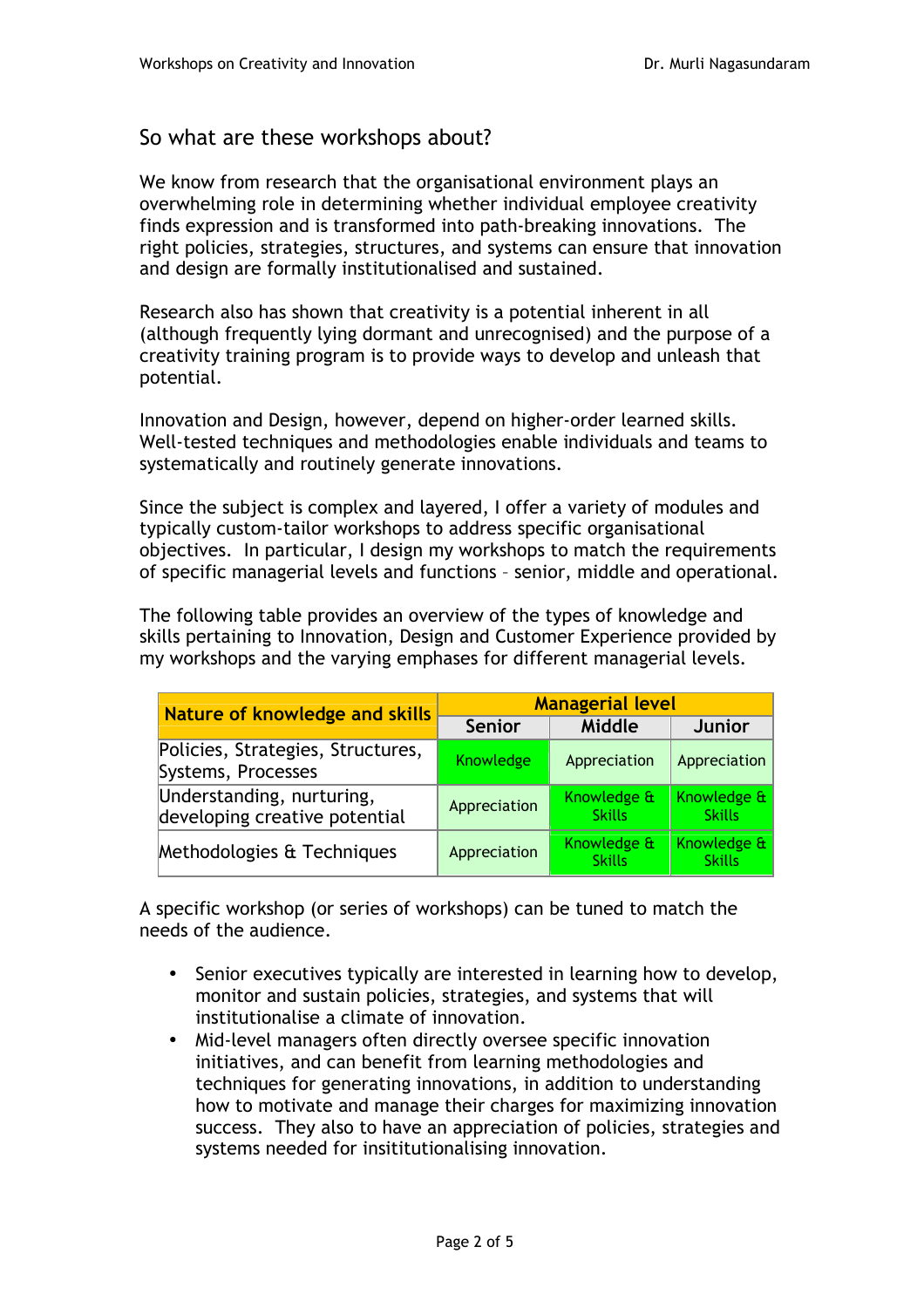# So what are these workshops about?

We know from research that the organisational environment plays an overwhelming role in determining whether individual employee creativity finds expression and is transformed into path-breaking innovations. The right policies, strategies, structures, and systems can ensure that innovation and design are formally institutionalised and sustained.

Research also has shown that creativity is a potential inherent in all (although frequently lying dormant and unrecognised) and the purpose of a creativity training program is to provide ways to develop and unleash that potential.

Innovation and Design, however, depend on higher-order learned skills. Well-tested techniques and methodologies enable individuals and teams to systematically and routinely generate innovations.

Since the subject is complex and layered, I offer a variety of modules and typically custom-tailor workshops to address specific organisational objectives. In particular, I design my workshops to match the requirements of specific managerial levels and functions – senior, middle and operational.

The following table provides an overview of the types of knowledge and skills pertaining to Innovation, Design and Customer Experience provided by my workshops and the varying emphases for different managerial levels.

| <b>Nature of knowledge and skills</b>                      | <b>Managerial level</b> |                              |                              |
|------------------------------------------------------------|-------------------------|------------------------------|------------------------------|
|                                                            | <b>Senior</b>           | Middle                       | <b>Junior</b>                |
| Policies, Strategies, Structures,<br>Systems, Processes    | Knowledge               | Appreciation                 | Appreciation                 |
| Understanding, nurturing,<br>developing creative potential | Appreciation            | Knowledge &<br><b>Skills</b> | Knowledge &<br><b>Skills</b> |
| Methodologies & Techniques                                 | Appreciation            | Knowledge &<br><b>Skills</b> | Knowledge &<br><b>Skills</b> |

A specific workshop (or series of workshops) can be tuned to match the needs of the audience.

- Senior executives typically are interested in learning how to develop, monitor and sustain policies, strategies, and systems that will institutionalise a climate of innovation.
- Mid-level managers often directly oversee specific innovation initiatives, and can benefit from learning methodologies and techniques for generating innovations, in addition to understanding how to motivate and manage their charges for maximizing innovation success. They also to have an appreciation of policies, strategies and systems needed for insititutionalising innovation.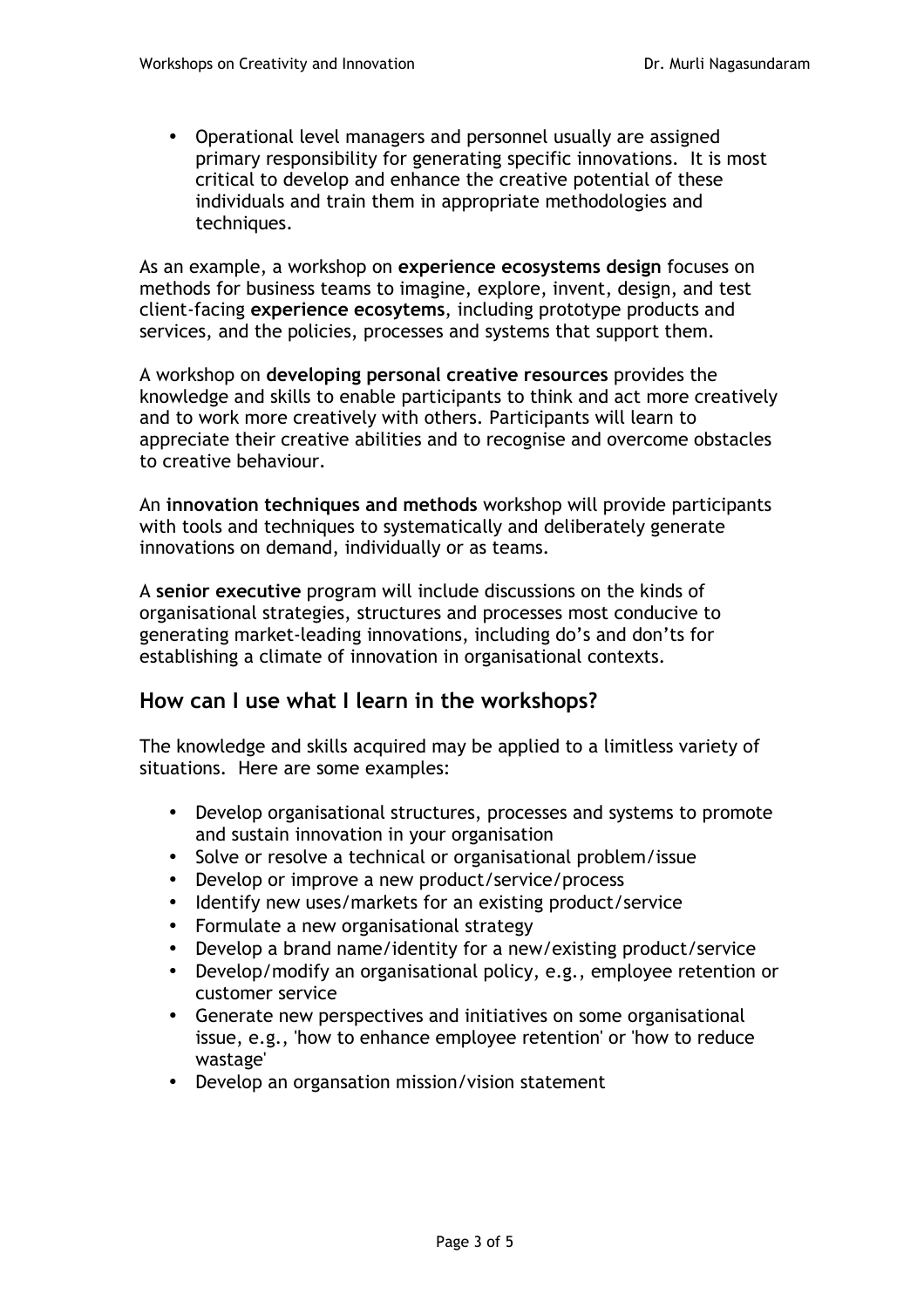• Operational level managers and personnel usually are assigned primary responsibility for generating specific innovations. It is most critical to develop and enhance the creative potential of these individuals and train them in appropriate methodologies and techniques.

As an example, a workshop on **experience ecosystems design** focuses on methods for business teams to imagine, explore, invent, design, and test client-facing **experience ecosytems**, including prototype products and services, and the policies, processes and systems that support them.

A workshop on **developing personal creative resources** provides the knowledge and skills to enable participants to think and act more creatively and to work more creatively with others. Participants will learn to appreciate their creative abilities and to recognise and overcome obstacles to creative behaviour.

An **innovation techniques and methods** workshop will provide participants with tools and techniques to systematically and deliberately generate innovations on demand, individually or as teams.

A **senior executive** program will include discussions on the kinds of organisational strategies, structures and processes most conducive to generating market-leading innovations, including do's and don'ts for establishing a climate of innovation in organisational contexts.

## **How can I use what I learn in the workshops?**

The knowledge and skills acquired may be applied to a limitless variety of situations. Here are some examples:

- Develop organisational structures, processes and systems to promote and sustain innovation in your organisation
- Solve or resolve a technical or organisational problem/issue
- Develop or improve a new product/service/process
- Identify new uses/markets for an existing product/service
- Formulate a new organisational strategy
- Develop a brand name/identity for a new/existing product/service
- Develop/modify an organisational policy, e.g., employee retention or customer service
- Generate new perspectives and initiatives on some organisational issue, e.g., 'how to enhance employee retention' or 'how to reduce wastage'
- Develop an organsation mission/vision statement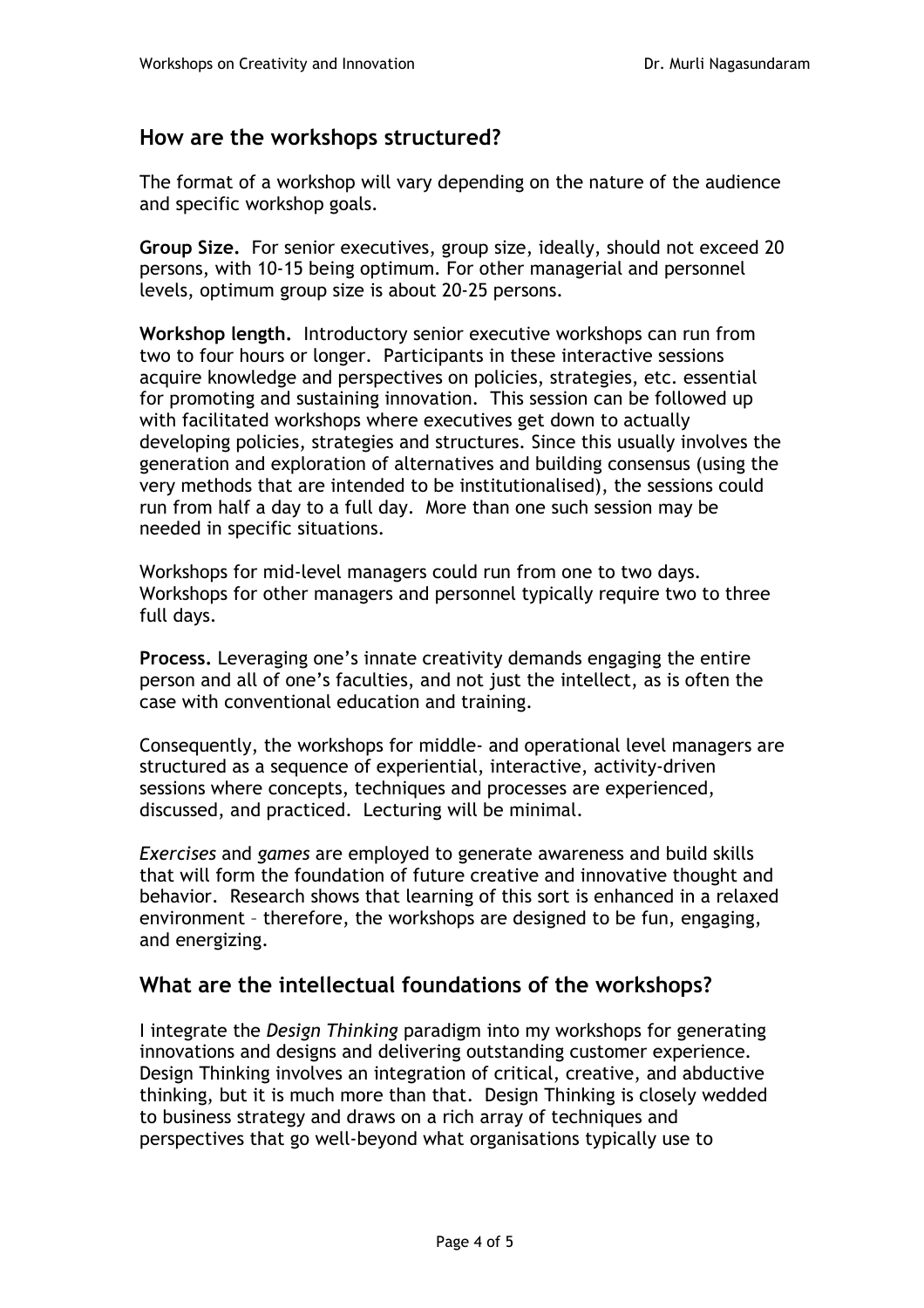# **How are the workshops structured?**

The format of a workshop will vary depending on the nature of the audience and specific workshop goals.

**Group Size.** For senior executives, group size, ideally, should not exceed 20 persons, with 10-15 being optimum. For other managerial and personnel levels, optimum group size is about 20-25 persons.

**Workshop length.** Introductory senior executive workshops can run from two to four hours or longer. Participants in these interactive sessions acquire knowledge and perspectives on policies, strategies, etc. essential for promoting and sustaining innovation. This session can be followed up with facilitated workshops where executives get down to actually developing policies, strategies and structures. Since this usually involves the generation and exploration of alternatives and building consensus (using the very methods that are intended to be institutionalised), the sessions could run from half a day to a full day. More than one such session may be needed in specific situations.

Workshops for mid-level managers could run from one to two days. Workshops for other managers and personnel typically require two to three full days.

**Process.** Leveraging one's innate creativity demands engaging the entire person and all of one's faculties, and not just the intellect, as is often the case with conventional education and training.

Consequently, the workshops for middle- and operational level managers are structured as a sequence of experiential, interactive, activity-driven sessions where concepts, techniques and processes are experienced, discussed, and practiced. Lecturing will be minimal.

*Exercises* and *games* are employed to generate awareness and build skills that will form the foundation of future creative and innovative thought and behavior. Research shows that learning of this sort is enhanced in a relaxed environment – therefore, the workshops are designed to be fun, engaging, and energizing.

## **What are the intellectual foundations of the workshops?**

I integrate the *Design Thinking* paradigm into my workshops for generating innovations and designs and delivering outstanding customer experience*.*  Design Thinking involves an integration of critical, creative, and abductive thinking, but it is much more than that. Design Thinking is closely wedded to business strategy and draws on a rich array of techniques and perspectives that go well-beyond what organisations typically use to